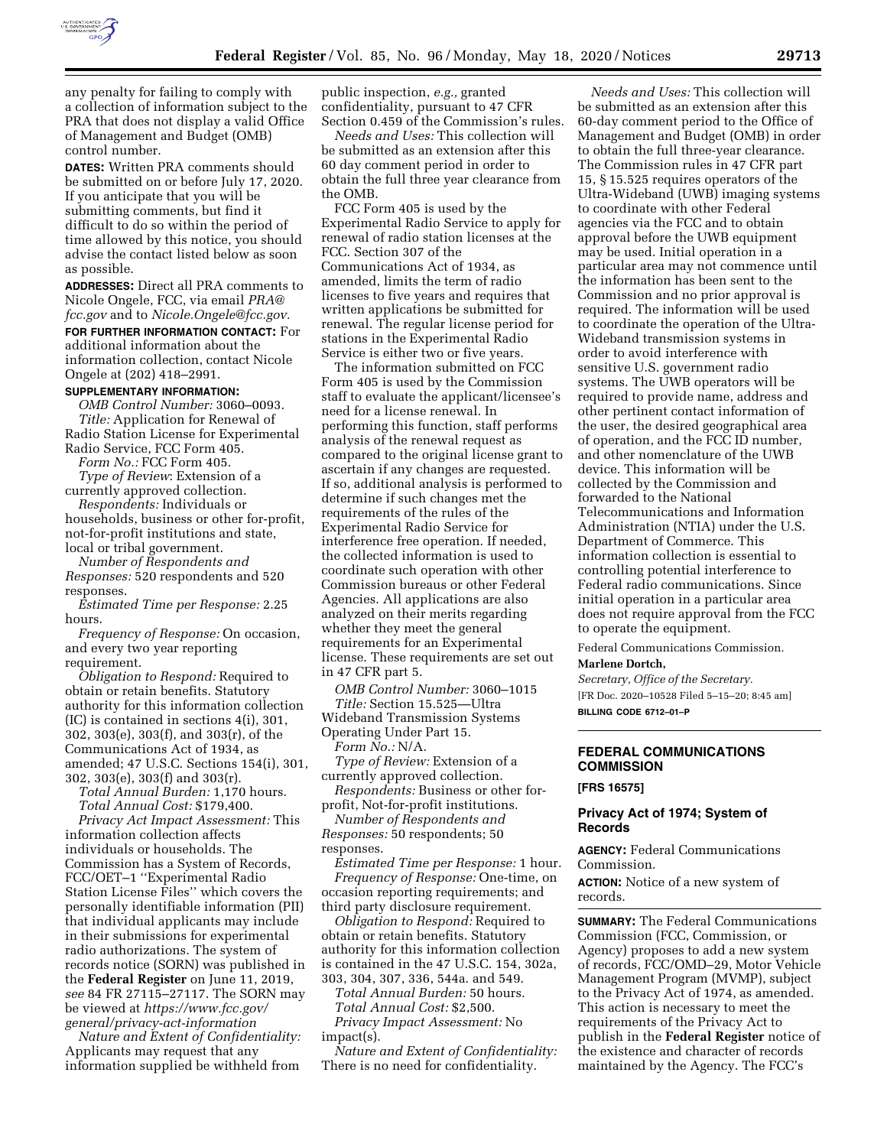

any penalty for failing to comply with a collection of information subject to the PRA that does not display a valid Office of Management and Budget (OMB) control number.

**DATES:** Written PRA comments should be submitted on or before July 17, 2020. If you anticipate that you will be submitting comments, but find it difficult to do so within the period of time allowed by this notice, you should advise the contact listed below as soon as possible.

**ADDRESSES:** Direct all PRA comments to Nicole Ongele, FCC, via email *[PRA@](mailto:PRA@fcc.gov) [fcc.gov](mailto:PRA@fcc.gov)* and to *[Nicole.Ongele@fcc.gov.](mailto:Nicole.Ongele@fcc.gov)* 

# **FOR FURTHER INFORMATION CONTACT:** For additional information about the

information collection, contact Nicole Ongele at (202) 418–2991.

# **SUPPLEMENTARY INFORMATION:**

*OMB Control Number:* 3060–0093. *Title:* Application for Renewal of Radio Station License for Experimental Radio Service, FCC Form 405.

*Form No.:* FCC Form 405. *Type of Review*: Extension of a

currently approved collection. *Respondents:* Individuals or

households, business or other for-profit, not-for-profit institutions and state, local or tribal government.

*Number of Respondents and Responses:* 520 respondents and 520 responses.

*Estimated Time per Response:* 2.25 hours.

*Frequency of Response:* On occasion, and every two year reporting requirement.

*Obligation to Respond:* Required to obtain or retain benefits. Statutory authority for this information collection (IC) is contained in sections 4(i), 301, 302, 303(e), 303(f), and 303(r), of the Communications Act of 1934, as amended; 47 U.S.C. Sections 154(i), 301, 302, 303(e), 303(f) and 303(r).

*Total Annual Burden:* 1,170 hours. *Total Annual Cost:* \$179,400.

*Privacy Act Impact Assessment:* This information collection affects individuals or households. The Commission has a System of Records, FCC/OET–1 ''Experimental Radio Station License Files'' which covers the personally identifiable information (PII) that individual applicants may include in their submissions for experimental radio authorizations. The system of records notice (SORN) was published in the **Federal Register** on June 11, 2019, *see* 84 FR 27115–27117. The SORN may be viewed at *[https://www.fcc.gov/](https://www.fcc.gov/general/privacy-act-information) [general/privacy-act-information](https://www.fcc.gov/general/privacy-act-information)* 

*Nature and Extent of Confidentiality:*  Applicants may request that any information supplied be withheld from

public inspection, *e.g.,* granted confidentiality, pursuant to 47 CFR Section 0.459 of the Commission's rules.

*Needs and Uses:* This collection will be submitted as an extension after this 60 day comment period in order to obtain the full three year clearance from the OMB.

FCC Form 405 is used by the Experimental Radio Service to apply for renewal of radio station licenses at the FCC. Section 307 of the Communications Act of 1934, as amended, limits the term of radio licenses to five years and requires that written applications be submitted for renewal. The regular license period for stations in the Experimental Radio Service is either two or five years.

The information submitted on FCC Form 405 is used by the Commission staff to evaluate the applicant/licensee's need for a license renewal. In performing this function, staff performs analysis of the renewal request as compared to the original license grant to ascertain if any changes are requested. If so, additional analysis is performed to determine if such changes met the requirements of the rules of the Experimental Radio Service for interference free operation. If needed, the collected information is used to coordinate such operation with other Commission bureaus or other Federal Agencies. All applications are also analyzed on their merits regarding whether they meet the general requirements for an Experimental license. These requirements are set out in 47 CFR part 5.

*OMB Control Number:* 3060–1015 *Title:* Section 15.525—Ultra

Wideband Transmission Systems

Operating Under Part 15.

*Form No.:* N/A. *Type of Review:* Extension of a currently approved collection.

*Respondents:* Business or other forprofit, Not-for-profit institutions.

*Number of Respondents and Responses:* 50 respondents; 50 responses.

*Estimated Time per Response:* 1 hour. *Frequency of Response:* One-time, on occasion reporting requirements; and third party disclosure requirement.

*Obligation to Respond:* Required to obtain or retain benefits. Statutory authority for this information collection is contained in the 47 U.S.C. 154, 302a, 303, 304, 307, 336, 544a. and 549.

*Total Annual Burden:* 50 hours. *Total Annual Cost:* \$2,500. *Privacy Impact Assessment:* No impact(s).

*Nature and Extent of Confidentiality:*  There is no need for confidentiality.

*Needs and Uses:* This collection will be submitted as an extension after this 60-day comment period to the Office of Management and Budget (OMB) in order to obtain the full three-year clearance. The Commission rules in 47 CFR part 15, § 15.525 requires operators of the Ultra-Wideband (UWB) imaging systems to coordinate with other Federal agencies via the FCC and to obtain approval before the UWB equipment may be used. Initial operation in a particular area may not commence until the information has been sent to the Commission and no prior approval is required. The information will be used to coordinate the operation of the Ultra-Wideband transmission systems in order to avoid interference with sensitive U.S. government radio systems. The UWB operators will be required to provide name, address and other pertinent contact information of the user, the desired geographical area of operation, and the FCC ID number, and other nomenclature of the UWB device. This information will be collected by the Commission and forwarded to the National Telecommunications and Information Administration (NTIA) under the U.S. Department of Commerce. This information collection is essential to controlling potential interference to Federal radio communications. Since initial operation in a particular area does not require approval from the FCC to operate the equipment.

Federal Communications Commission.

#### **Marlene Dortch,**

*Secretary, Office of the Secretary.*  [FR Doc. 2020–10528 Filed 5–15–20; 8:45 am] **BILLING CODE 6712–01–P** 

# **FEDERAL COMMUNICATIONS COMMISSION**

**[FRS 16575]** 

## **Privacy Act of 1974; System of Records**

**AGENCY:** Federal Communications Commission.

**ACTION:** Notice of a new system of records.

**SUMMARY:** The Federal Communications Commission (FCC, Commission, or Agency) proposes to add a new system of records, FCC/OMD–29, Motor Vehicle Management Program (MVMP), subject to the Privacy Act of 1974, as amended. This action is necessary to meet the requirements of the Privacy Act to publish in the **Federal Register** notice of the existence and character of records maintained by the Agency. The FCC's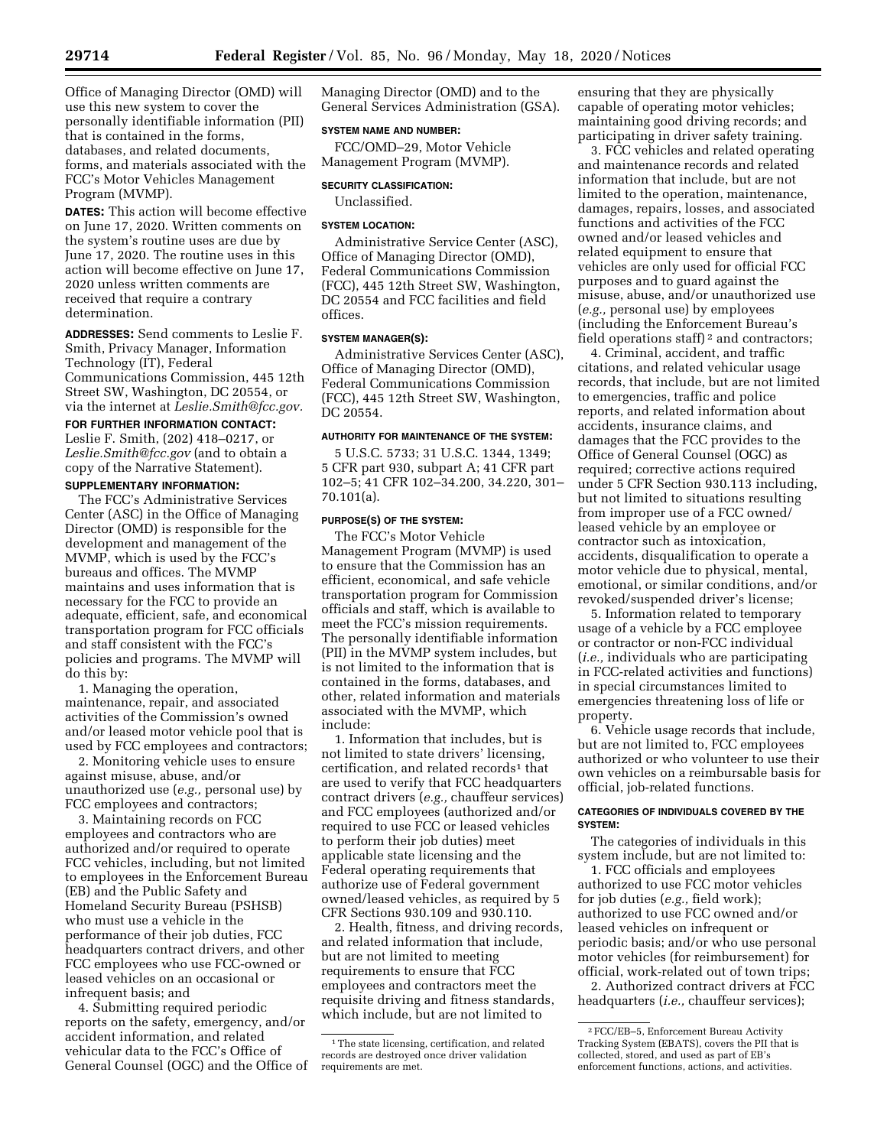Office of Managing Director (OMD) will use this new system to cover the personally identifiable information (PII) that is contained in the forms, databases, and related documents, forms, and materials associated with the FCC's Motor Vehicles Management

**DATES:** This action will become effective on June 17, 2020. Written comments on the system's routine uses are due by June 17, 2020. The routine uses in this action will become effective on June 17, 2020 unless written comments are received that require a contrary determination.

**ADDRESSES:** Send comments to Leslie F. Smith, Privacy Manager, Information Technology (IT), Federal Communications Commission, 445 12th Street SW, Washington, DC 20554, or via the internet at *[Leslie.Smith@fcc.gov.](mailto:Leslie.Smith@fcc.gov)* 

#### **FOR FURTHER INFORMATION CONTACT:**

Leslie F. Smith, (202) 418–0217, or *[Leslie.Smith@fcc.gov](mailto:Leslie.Smith@fcc.gov)* (and to obtain a copy of the Narrative Statement).

## **SUPPLEMENTARY INFORMATION:**

The FCC's Administrative Services Center (ASC) in the Office of Managing Director (OMD) is responsible for the development and management of the MVMP, which is used by the FCC's bureaus and offices. The MVMP maintains and uses information that is necessary for the FCC to provide an adequate, efficient, safe, and economical transportation program for FCC officials and staff consistent with the FCC's policies and programs. The MVMP will do this by:

1. Managing the operation, maintenance, repair, and associated activities of the Commission's owned and/or leased motor vehicle pool that is used by FCC employees and contractors;

2. Monitoring vehicle uses to ensure against misuse, abuse, and/or unauthorized use (*e.g.,* personal use) by FCC employees and contractors;

3. Maintaining records on FCC employees and contractors who are authorized and/or required to operate FCC vehicles, including, but not limited to employees in the Enforcement Bureau (EB) and the Public Safety and Homeland Security Bureau (PSHSB) who must use a vehicle in the performance of their job duties, FCC headquarters contract drivers, and other FCC employees who use FCC-owned or leased vehicles on an occasional or infrequent basis; and

4. Submitting required periodic reports on the safety, emergency, and/or accident information, and related vehicular data to the FCC's Office of General Counsel (OGC) and the Office of Managing Director (OMD) and to the General Services Administration (GSA).

#### **SYSTEM NAME AND NUMBER:**

FCC/OMD–29, Motor Vehicle Management Program (MVMP).

#### **SECURITY CLASSIFICATION:**

Unclassified.

#### **SYSTEM LOCATION:**

Administrative Service Center (ASC), Office of Managing Director (OMD), Federal Communications Commission (FCC), 445 12th Street SW, Washington, DC 20554 and FCC facilities and field offices.

#### **SYSTEM MANAGER(S):**

Administrative Services Center (ASC), Office of Managing Director (OMD), Federal Communications Commission (FCC), 445 12th Street SW, Washington, DC 20554.

## **AUTHORITY FOR MAINTENANCE OF THE SYSTEM:**

5 U.S.C. 5733; 31 U.S.C. 1344, 1349; 5 CFR part 930, subpart A; 41 CFR part 102–5; 41 CFR 102–34.200, 34.220, 301– 70.101(a).

#### **PURPOSE(S) OF THE SYSTEM:**

The FCC's Motor Vehicle Management Program (MVMP) is used to ensure that the Commission has an efficient, economical, and safe vehicle transportation program for Commission officials and staff, which is available to meet the FCC's mission requirements. The personally identifiable information (PII) in the MVMP system includes, but is not limited to the information that is contained in the forms, databases, and other, related information and materials associated with the MVMP, which include:

1. Information that includes, but is not limited to state drivers' licensing, certification, and related records<sup>1</sup> that are used to verify that FCC headquarters contract drivers (*e.g.,* chauffeur services) and FCC employees (authorized and/or required to use FCC or leased vehicles to perform their job duties) meet applicable state licensing and the Federal operating requirements that authorize use of Federal government owned/leased vehicles, as required by 5 CFR Sections 930.109 and 930.110.

2. Health, fitness, and driving records, and related information that include, but are not limited to meeting requirements to ensure that FCC employees and contractors meet the requisite driving and fitness standards, which include, but are not limited to

ensuring that they are physically capable of operating motor vehicles; maintaining good driving records; and participating in driver safety training.

3. FCC vehicles and related operating and maintenance records and related information that include, but are not limited to the operation, maintenance, damages, repairs, losses, and associated functions and activities of the FCC owned and/or leased vehicles and related equipment to ensure that vehicles are only used for official FCC purposes and to guard against the misuse, abuse, and/or unauthorized use (*e.g.,* personal use) by employees (including the Enforcement Bureau's field operations staff) 2 and contractors;

4. Criminal, accident, and traffic citations, and related vehicular usage records, that include, but are not limited to emergencies, traffic and police reports, and related information about accidents, insurance claims, and damages that the FCC provides to the Office of General Counsel (OGC) as required; corrective actions required under 5 CFR Section 930.113 including, but not limited to situations resulting from improper use of a FCC owned/ leased vehicle by an employee or contractor such as intoxication, accidents, disqualification to operate a motor vehicle due to physical, mental, emotional, or similar conditions, and/or revoked/suspended driver's license;

5. Information related to temporary usage of a vehicle by a FCC employee or contractor or non-FCC individual (*i.e.,* individuals who are participating in FCC-related activities and functions) in special circumstances limited to emergencies threatening loss of life or property.

6. Vehicle usage records that include, but are not limited to, FCC employees authorized or who volunteer to use their own vehicles on a reimbursable basis for official, job-related functions.

#### **CATEGORIES OF INDIVIDUALS COVERED BY THE SYSTEM:**

The categories of individuals in this system include, but are not limited to:

1. FCC officials and employees authorized to use FCC motor vehicles for job duties (*e.g.,* field work); authorized to use FCC owned and/or leased vehicles on infrequent or periodic basis; and/or who use personal motor vehicles (for reimbursement) for official, work-related out of town trips;

2. Authorized contract drivers at FCC headquarters (*i.e.,* chauffeur services);

Program (MVMP).

<sup>&</sup>lt;sup>1</sup>The state licensing, certification, and related records are destroyed once driver validation requirements are met.

<sup>2</sup>FCC/EB–5, Enforcement Bureau Activity Tracking System (EBATS), covers the PII that is collected, stored, and used as part of EB's enforcement functions, actions, and activities.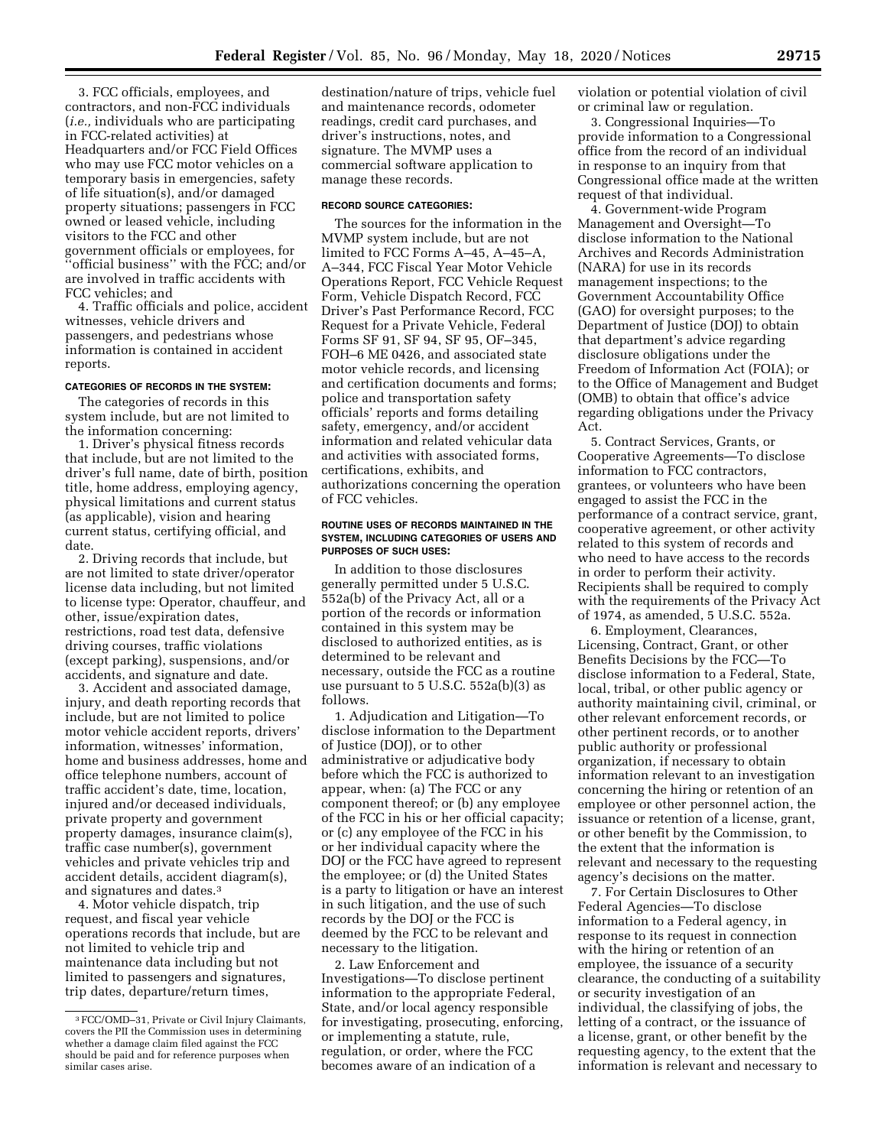3. FCC officials, employees, and contractors, and non-FCC individuals (*i.e.,* individuals who are participating in FCC-related activities) at Headquarters and/or FCC Field Offices who may use FCC motor vehicles on a temporary basis in emergencies, safety of life situation(s), and/or damaged property situations; passengers in FCC owned or leased vehicle, including visitors to the FCC and other government officials or employees, for ''official business'' with the FCC; and/or are involved in traffic accidents with FCC vehicles; and

4. Traffic officials and police, accident witnesses, vehicle drivers and passengers, and pedestrians whose information is contained in accident reports.

## **CATEGORIES OF RECORDS IN THE SYSTEM:**

The categories of records in this system include, but are not limited to the information concerning:

1. Driver's physical fitness records that include, but are not limited to the driver's full name, date of birth, position title, home address, employing agency, physical limitations and current status (as applicable), vision and hearing current status, certifying official, and date.

2. Driving records that include, but are not limited to state driver/operator license data including, but not limited to license type: Operator, chauffeur, and other, issue/expiration dates, restrictions, road test data, defensive driving courses, traffic violations (except parking), suspensions, and/or accidents, and signature and date.

3. Accident and associated damage, injury, and death reporting records that include, but are not limited to police motor vehicle accident reports, drivers' information, witnesses' information, home and business addresses, home and office telephone numbers, account of traffic accident's date, time, location, injured and/or deceased individuals, private property and government property damages, insurance claim(s), traffic case number(s), government vehicles and private vehicles trip and accident details, accident diagram(s), and signatures and dates.3

4. Motor vehicle dispatch, trip request, and fiscal year vehicle operations records that include, but are not limited to vehicle trip and maintenance data including but not limited to passengers and signatures, trip dates, departure/return times,

destination/nature of trips, vehicle fuel and maintenance records, odometer readings, credit card purchases, and driver's instructions, notes, and signature. The MVMP uses a commercial software application to manage these records.

## **RECORD SOURCE CATEGORIES:**

The sources for the information in the MVMP system include, but are not limited to FCC Forms A–45, A–45–A, A–344, FCC Fiscal Year Motor Vehicle Operations Report, FCC Vehicle Request Form, Vehicle Dispatch Record, FCC Driver's Past Performance Record, FCC Request for a Private Vehicle, Federal Forms SF 91, SF 94, SF 95, OF–345, FOH–6 ME 0426, and associated state motor vehicle records, and licensing and certification documents and forms; police and transportation safety officials' reports and forms detailing safety, emergency, and/or accident information and related vehicular data and activities with associated forms, certifications, exhibits, and authorizations concerning the operation of FCC vehicles.

#### **ROUTINE USES OF RECORDS MAINTAINED IN THE SYSTEM, INCLUDING CATEGORIES OF USERS AND PURPOSES OF SUCH USES:**

In addition to those disclosures generally permitted under 5 U.S.C. 552a(b) of the Privacy Act, all or a portion of the records or information contained in this system may be disclosed to authorized entities, as is determined to be relevant and necessary, outside the FCC as a routine use pursuant to 5 U.S.C. 552a(b)(3) as follows.

1. Adjudication and Litigation—To disclose information to the Department of Justice (DOJ), or to other administrative or adjudicative body before which the FCC is authorized to appear, when: (a) The FCC or any component thereof; or (b) any employee of the FCC in his or her official capacity; or (c) any employee of the FCC in his or her individual capacity where the DOJ or the FCC have agreed to represent the employee; or (d) the United States is a party to litigation or have an interest in such litigation, and the use of such records by the DOJ or the FCC is deemed by the FCC to be relevant and necessary to the litigation.

2. Law Enforcement and Investigations—To disclose pertinent information to the appropriate Federal, State, and/or local agency responsible for investigating, prosecuting, enforcing, or implementing a statute, rule, regulation, or order, where the FCC becomes aware of an indication of a

violation or potential violation of civil or criminal law or regulation.

3. Congressional Inquiries—To provide information to a Congressional office from the record of an individual in response to an inquiry from that Congressional office made at the written request of that individual.

4. Government-wide Program Management and Oversight—To disclose information to the National Archives and Records Administration (NARA) for use in its records management inspections; to the Government Accountability Office (GAO) for oversight purposes; to the Department of Justice (DOJ) to obtain that department's advice regarding disclosure obligations under the Freedom of Information Act (FOIA); or to the Office of Management and Budget (OMB) to obtain that office's advice regarding obligations under the Privacy Act.

5. Contract Services, Grants, or Cooperative Agreements—To disclose information to FCC contractors, grantees, or volunteers who have been engaged to assist the FCC in the performance of a contract service, grant, cooperative agreement, or other activity related to this system of records and who need to have access to the records in order to perform their activity. Recipients shall be required to comply with the requirements of the Privacy Act of 1974, as amended, 5 U.S.C. 552a.

6. Employment, Clearances, Licensing, Contract, Grant, or other Benefits Decisions by the FCC—To disclose information to a Federal, State, local, tribal, or other public agency or authority maintaining civil, criminal, or other relevant enforcement records, or other pertinent records, or to another public authority or professional organization, if necessary to obtain information relevant to an investigation concerning the hiring or retention of an employee or other personnel action, the issuance or retention of a license, grant, or other benefit by the Commission, to the extent that the information is relevant and necessary to the requesting agency's decisions on the matter.

7. For Certain Disclosures to Other Federal Agencies—To disclose information to a Federal agency, in response to its request in connection with the hiring or retention of an employee, the issuance of a security clearance, the conducting of a suitability or security investigation of an individual, the classifying of jobs, the letting of a contract, or the issuance of a license, grant, or other benefit by the requesting agency, to the extent that the information is relevant and necessary to

<sup>3</sup>FCC/OMD–31, Private or Civil Injury Claimants, covers the PII the Commission uses in determining whether a damage claim filed against the FCC should be paid and for reference purposes when similar cases arise.